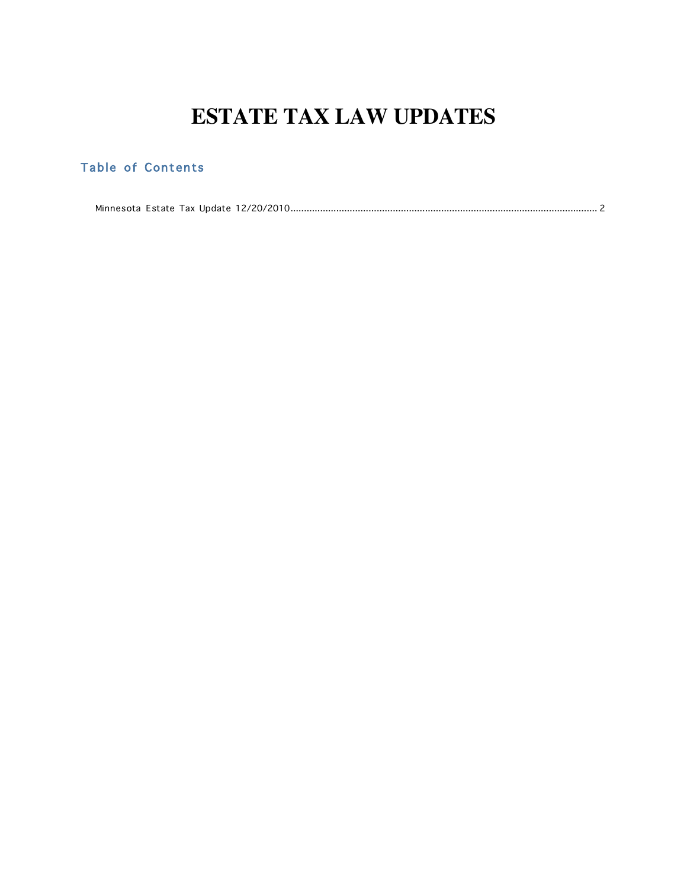# **ESTATE TAX LAW UPDATES**

## <span id="page-0-0"></span>Table of Contents

[Minnesota Estate Tax Update 12/20/2010..................................................................................................................](#page-1-0) 2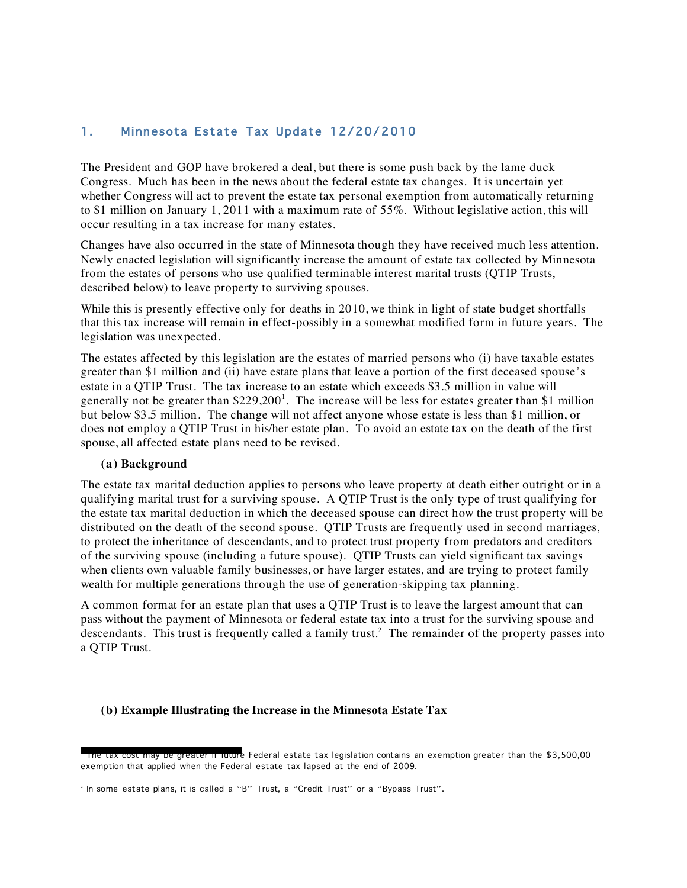### <span id="page-1-0"></span>1. Minnesota Estate Tax Update 12/20/2010

The President and GOP have brokered a deal, but there is some push back by the lame duck Congress. Much has been in the news about the federal estate tax changes. It is uncertain yet whether Congress will act to prevent the estate tax personal exemption from automatically returning to \$1 million on January 1, 2011 with a maximum rate of 55%. Without legislative action, this will occur resulting in a tax increase for many estates.

Changes have also occurred in the state of Minnesota though they have received much less attention. Newly enacted legislation will significantly increase the amount of estate tax collected by Minnesota from the estates of persons who use qualified terminable interest marital trusts (QTIP Trusts, described below) to leave property to surviving spouses.

While this is presently effective only for deaths in 2010, we think in light of state budget shortfalls that this tax increase will remain in effect-possibly in a somewhat modified form in future years. The legislation was unexpected.

The estates affected by this legislation are the estates of married persons who (i) have taxable estates greater than \$1 million and (ii) have estate plans that leave a portion of the first deceased spouse's estate in a QTIP Trust. The tax increase to an estate which exceeds \$3.5 million in value will generally not be greater than \$229,200<sup>1</sup>. The increase will be less for estates greater than \$1 million but below \$3.5 million. The change will not affect anyone whose estate is less than \$1 million, or does not employ a QTIP Trust in his/her estate plan. To avoid an estate tax on the death of the first spouse, all affected estate plans need to be revised.

#### **(a) Background**

The estate tax marital deduction applies to persons who leave property at death either outright or in a qualifying marital trust for a surviving spouse. A QTIP Trust is the only type of trust qualifying for the estate tax marital deduction in which the deceased spouse can direct how the trust property will be distributed on the death of the second spouse. QTIP Trusts are frequently used in second marriages, to protect the inheritance of descendants, and to protect trust property from predators and creditors of the surviving spouse (including a future spouse). QTIP Trusts can yield significant tax savings when clients own valuable family businesses, or have larger estates, and are trying to protect family wealth for multiple generations through the use of generation-skipping tax planning.

A common format for an estate plan that uses a QTIP Trust is to leave the largest amount that can pass without the payment of Minnesota or federal estate tax into a trust for the surviving spouse and descendants. This trust is frequently called a family trust.<sup>2</sup> The remainder of the property passes into a QTIP Trust.

#### **(b) Example Illustrating the Increase in the Minnesota Estate Tax**

 <sup>1</sup> The tax cost may be greater if future Federal estate tax legislation contains an exemption greater than the \$3,500,00 exemption that applied when the Federal estate tax lapsed at the end of 2009.

 $^{\circ}$  In some estate plans, it is called a "B" Trust, a "Credit Trust" or a "Bypass Trust".